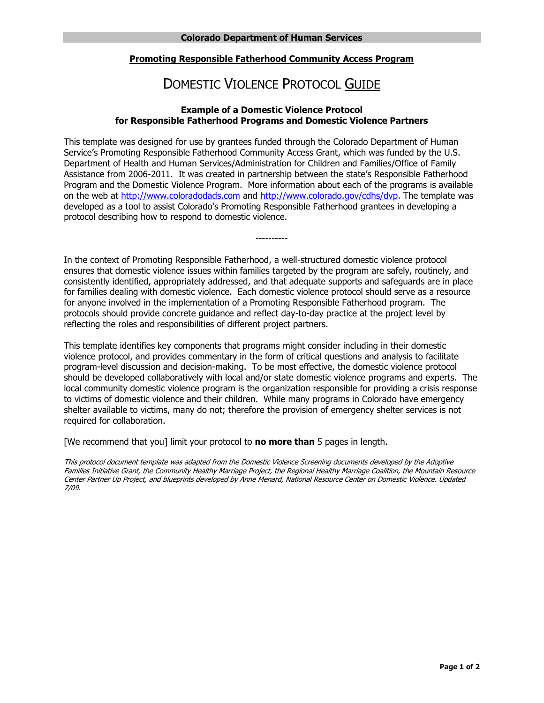# **Promoting Responsible Fatherhood Community Access Program**

# DOMESTIC VIOLENCE PROTOCOL GUIDE

## **Example of a Domestic Violence Protocol for Responsible Fatherhood Programs and Domestic Violence Partners**

 Service's Promoting Responsible Fatherhood Community Access Grant, which was funded by the U.S. Department of Health and Human Services/Administration for Children and Families/Office of Family Assistance from 2006-2011. It was created in partnership between the state's Responsible Fatherhood Program and the Domestic Violence Program. More information about each of the programs is available on the web at [http://www.coloradodads.com](http://www.coloradodads.com/) and [http://www.colorado.gov/cdhs/dvp.](http://www.colorado.gov/cdhs/dvp) The template was developed as a tool to assist Colorado's Promoting Responsible Fatherhood grantees in developing a This template was designed for use by grantees funded through the Colorado Department of Human protocol describing how to respond to domestic violence.

 consistently identified, appropriately addressed, and that adequate supports and safeguards are in place protocols should provide concrete guidance and reflect day-to-day practice at the project level by In the context of Promoting Responsible Fatherhood, a well-structured domestic violence protocol ensures that domestic violence issues within families targeted by the program are safely, routinely, and for families dealing with domestic violence. Each domestic violence protocol should serve as a resource for anyone involved in the implementation of a Promoting Responsible Fatherhood program. The reflecting the roles and responsibilities of different project partners.

----------

 This template identifies key components that programs might consider including in their domestic violence protocol, and provides commentary in the form of critical questions and analysis to facilitate local community domestic violence program is the organization responsible for providing a crisis response program-level discussion and decision-making. To be most effective, the domestic violence protocol should be developed collaboratively with local and/or state domestic violence programs and experts. The to victims of domestic violence and their children. While many programs in Colorado have emergency shelter available to victims, many do not; therefore the provision of emergency shelter services is not required for collaboration.

[We recommend that you] limit your protocol to **no more than** 5 pages in length.

This protocol document template was adapted from the Domestic Violence Screening documents developed by the Adoptive Families Initiative Grant, the Community Healthy Marriage Project, the Regional Healthy Marriage Coalition, the Mountain Resource Center Partner Up Project, and blueprints developed by Anne Menard, National Resource Center on Domestic Violence. Updated 7/09.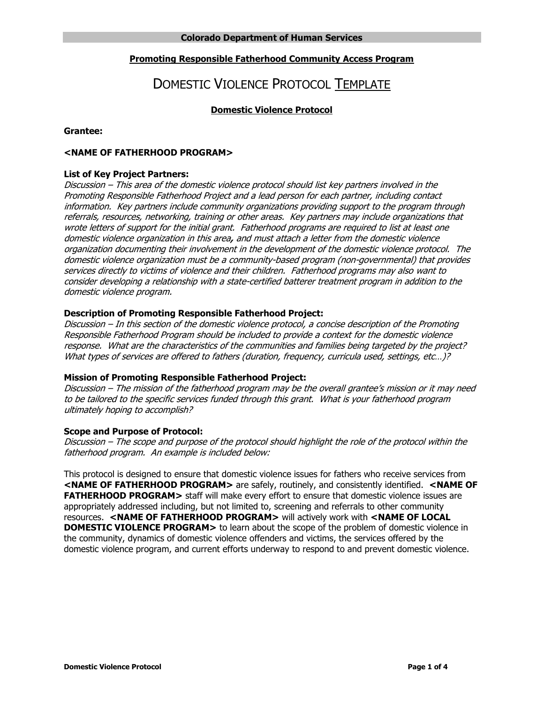# **Promoting Responsible Fatherhood Community Access Program**

# DOMESTIC VIOLENCE PROTOCOL TEMPLATE

# **Domestic Violence Protocol**

## Grantee:

# Grantee:<br><NAME OF FATHERHOOD PROGRAM>

## **List of Key Project Partners:**

 Discussion – This area of the domestic violence protocol should list key partners involved in the Promoting Responsible Fatherhood Project and a lead person for each partner, including contact domestic violence organization in this area**,** and must attach a letter from the domestic violence organization documenting their involvement in the development of the domestic violence protocol. The domestic violence organization must be a community-based program (non-governmental) that provides information. Key partners include community organizations providing support to the program through referrals, resources, networking, training or other areas. Key partners may include organizations that wrote letters of support for the initial grant. Fatherhood programs are required to list at least one services directly to victims of violence and their children. Fatherhood programs may also want to consider developing a relationship with a state-certified batterer treatment program in addition to the domestic violence program.

## **Description of Promoting Responsible Fatherhood Project:**

 Discussion – In this section of the domestic violence protocol, a concise description of the Promoting Responsible Fatherhood Program should be included to provide a context for the domestic violence response. What are the characteristics of the communities and families being targeted by the project? What types of services are offered to fathers (duration, frequency, curricula used, settings, etc...)?

#### **Mission of Promoting Responsible Fatherhood Project:**

 Discussion – The mission of the fatherhood program may be the overall grantee's mission or it may need to be tailored to the specific services funded through this grant. What is your fatherhood program ultimately hoping to accomplish?

#### **Scope and Purpose of Protocol:**

 Discussion – The scope and purpose of the protocol should highlight the role of the protocol within the fatherhood program. An example is included below:

 **<NAME OF FATHERHOOD PROGRAM>** are safely, routinely, and consistently identified. **<NAME OF FATHERHOOD PROGRAM>** staff will make every effort to ensure that domestic violence issues are appropriately addressed including, but not limited to, screening and referrals to other community resources. **<NAME OF FATHERHOOD PROGRAM>** will actively work with **<NAME OF LOCAL DOMESTIC VIOLENCE PROGRAM>** to learn about the scope of the problem of domestic violence in the community, dynamics of domestic violence offenders and victims, the services offered by the domestic violence program, and current efforts underway to respond to and prevent domestic violence. This protocol is designed to ensure that domestic violence issues for fathers who receive services from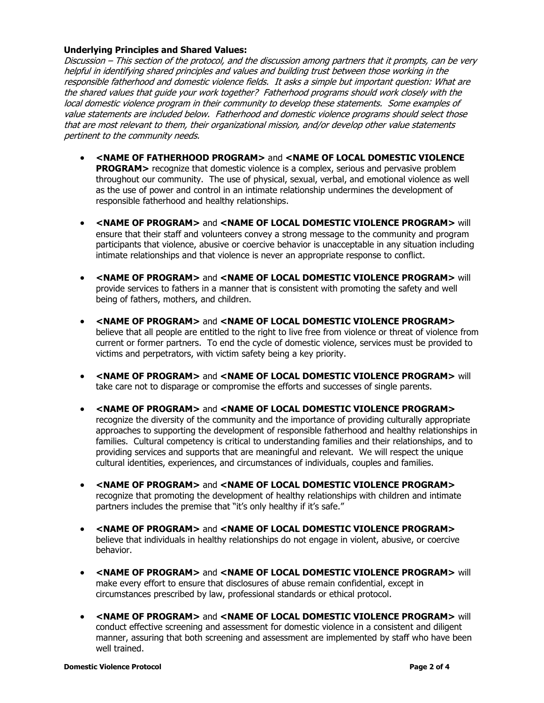## **Underlying Principles and Shared Values:**

 Discussion – This section of the protocol, and the discussion among partners that it prompts, can be very responsible fatherhood and domestic violence fields. It asks a simple but important question: What are local domestic violence program in their community to develop these statements. Some examples of helpful in identifying shared principles and values and building trust between those working in the the shared values that guide your work together? Fatherhood programs should work closely with the value statements are included below. Fatherhood and domestic violence programs should select those that are most relevant to them, their organizational mission, and/or develop other value statements pertinent to the community needs.

- **<NAME OF FATHERHOOD PROGRAM>** and **<NAME OF LOCAL DOMESTIC VIOLENCE PROGRAM>** recognize that domestic violence is a complex, serious and pervasive problem throughout our community. The use of physical, sexual, verbal, and emotional violence as well as the use of power and control in an intimate relationship undermines the development of responsible fatherhood and healthy relationships.
- **<NAME OF PROGRAM>** and **<NAME OF LOCAL DOMESTIC VIOLENCE PROGRAM>** will ensure that their staff and volunteers convey a strong message to the community and program participants that violence, abusive or coercive behavior is unacceptable in any situation including intimate relationships and that violence is never an appropriate response to conflict.
- **<NAME OF PROGRAM>** and **<NAME OF LOCAL DOMESTIC VIOLENCE PROGRAM>** will being of fathers, mothers, and children. provide services to fathers in a manner that is consistent with promoting the safety and well
- **<NAME OF PROGRAM>** and **<NAME OF LOCAL DOMESTIC VIOLENCE PROGRAM>**  believe that all people are entitled to the right to live free from violence or threat of violence from victims and perpetrators, with victim safety being a key priority. current or former partners. To end the cycle of domestic violence, services must be provided to
- **<NAME OF PROGRAM>** and **<NAME OF LOCAL DOMESTIC VIOLENCE PROGRAM>** will take care not to disparage or compromise the efforts and successes of single parents.
- **<NAME OF PROGRAM>** and **<NAME OF LOCAL DOMESTIC VIOLENCE PROGRAM>**  recognize the diversity of the community and the importance of providing culturally appropriate approaches to supporting the development of responsible fatherhood and healthy relationships in families. Cultural competency is critical to understanding families and their relationships, and to providing services and supports that are meaningful and relevant. We will respect the unique cultural identities, experiences, and circumstances of individuals, couples and families.
- **<NAME OF PROGRAM>** and **<NAME OF LOCAL DOMESTIC VIOLENCE PROGRAM>**  recognize that promoting the development of healthy relationships with children and intimate partners includes the premise that "it's only healthy if it's safe."
- **<NAME OF PROGRAM>** and **<NAME OF LOCAL DOMESTIC VIOLENCE PROGRAM>**  believe that individuals in healthy relationships do not engage in violent, abusive, or coercive behavior.
- **<NAME OF PROGRAM>** and **<NAME OF LOCAL DOMESTIC VIOLENCE PROGRAM>** will make every effort to ensure that disclosures of abuse remain confidential, except in circumstances prescribed by law, professional standards or ethical protocol.
- **<NAME OF PROGRAM>** and **<NAME OF LOCAL DOMESTIC VIOLENCE PROGRAM>** will conduct effective screening and assessment for domestic violence in a consistent and diligent manner, assuring that both screening and assessment are implemented by staff who have been well trained.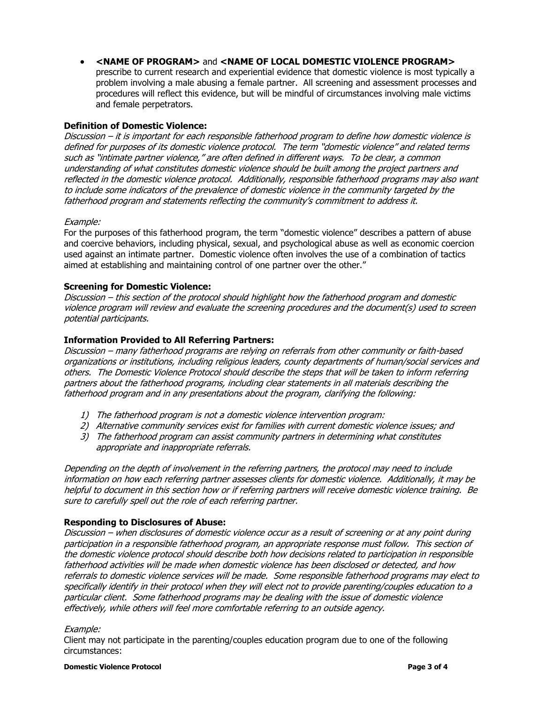- **<NAME OF PROGRAM>** and **<NAME OF LOCAL DOMESTIC VIOLENCE PROGRAM>** 
	- prescribe to current research and experiential evidence that domestic violence is most typically a problem involving a male abusing a female partner. All screening and assessment processes and procedures will reflect this evidence, but will be mindful of circumstances involving male victims and female perpetrators.

## **Definition of Domestic Violence:**

 Discussion – it is important for each responsible fatherhood program to define how domestic violence is such as "intimate partner violence," are often defined in different ways. To be clear, a common reflected in the domestic violence protocol. Additionally, responsible fatherhood programs may also want defined for purposes of its domestic violence protocol. The term "domestic violence" and related terms understanding of what constitutes domestic violence should be built among the project partners and to include some indicators of the prevalence of domestic violence in the community targeted by the fatherhood program and statements reflecting the community's commitment to address it.

## Example:

 used against an intimate partner. Domestic violence often involves the use of a combination of tactics aimed at establishing and maintaining control of one partner over the other." For the purposes of this fatherhood program, the term "domestic violence" describes a pattern of abuse and coercive behaviors, including physical, sexual, and psychological abuse as well as economic coercion

## **Screening for Domestic Violence:**

 Discussion – this section of the protocol should highlight how the fatherhood program and domestic violence program will review and evaluate the screening procedures and the document(s) used to screen potential participants.

## **Information Provided to All Referring Partners:**

 Discussion – many fatherhood programs are relying on referrals from other community or faith-based partners about the fatherhood programs, including clear statements in all materials describing the fatherhood program and in any presentations about the program, clarifying the following: organizations or institutions, including religious leaders, county departments of human/social services and others. The Domestic Violence Protocol should describe the steps that will be taken to inform referring

- 1) The fatherhood program is not a domestic violence intervention program:
- 2) Alternative community services exist for families with current domestic violence issues; and
- 3) The fatherhood program can assist community partners in determining what constitutes appropriate and inappropriate referrals.

 Depending on the depth of involvement in the referring partners, the protocol may need to include information on how each referring partner assesses clients for domestic violence. Additionally, it may be helpful to document in this section how or if referring partners will receive domestic violence training. Be sure to carefully spell out the role of each referring partner.

# **Responding to Disclosures of Abuse:**

 Discussion – when disclosures of domestic violence occur as a result of screening or at any point during participation in a responsible fatherhood program, an appropriate response must follow. This section of the domestic violence protocol should describe both how decisions related to participation in responsible fatherhood activities will be made when domestic violence has been disclosed or detected, and how referrals to domestic violence services will be made. Some responsible fatherhood programs may elect to specifically identify in their protocol when they will elect not to provide parenting/couples education to a particular client. Some fatherhood programs may be dealing with the issue of domestic violence effectively, while others will feel more comfortable referring to an outside agency.

#### Example:

Client may not participate in the parenting/couples education program due to one of the following circumstances: